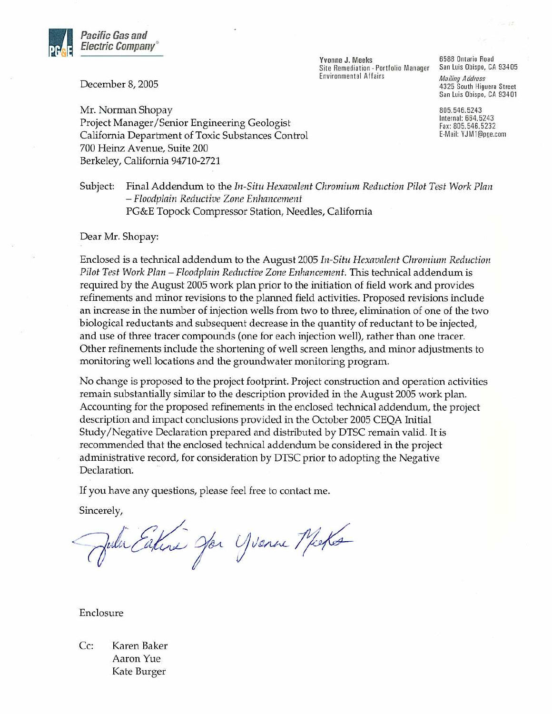

December 8, 2005

Yvonne J. Meeks Site Remediation - Portfolio Manager **Environmental Affairs** 

6588 Ontario Road San Luis Obispo, CA 93405 **Mailing Address** 4325 South Higuera Street San Luis Obispo, CA 93401

805.546.5243 Internal: 664.5243 Fax: 805.546.5232 E-Mail: YJM1@pge.com

Mr. Norman Shopay Project Manager/Senior Engineering Geologist California Department of Toxic Substances Control 700 Heinz Avenue, Suite 200 Berkeley, California 94710-2721

#### Subject: Final Addendum to the In-Situ Hexavalent Chromium Reduction Pilot Test Work Plan - Floodplain Reductive Zone Enhancement PG&E Topock Compressor Station, Needles, California

### Dear Mr. Shopay:

Enclosed is a technical addendum to the August 2005 In-Situ Hexavalent Chromium Reduction Pilot Test Work Plan - Floodplain Reductive Zone Enhancement. This technical addendum is required by the August 2005 work plan prior to the initiation of field work and provides refinements and minor revisions to the planned field activities. Proposed revisions include an increase in the number of injection wells from two to three, elimination of one of the two biological reductants and subsequent decrease in the quantity of reductant to be injected, and use of three tracer compounds (one for each injection well), rather than one tracer. Other refinements include the shortening of well screen lengths, and minor adjustments to monitoring well locations and the groundwater monitoring program.

No change is proposed to the project footprint. Project construction and operation activities remain substantially similar to the description provided in the August 2005 work plan. Accounting for the proposed refinements in the enclosed technical addendum, the project description and impact conclusions provided in the October 2005 CEQA Initial Study/Negative Declaration prepared and distributed by DTSC remain valid. It is recommended that the enclosed technical addendum be considered in the project administrative record, for consideration by DTSC prior to adopting the Negative Declaration.

If you have any questions, please feel free to contact me.

Sincerely,

When Eaters Jon Yvenue Micke

Enclosure

Cc: Karen Baker Aaron Yue Kate Burger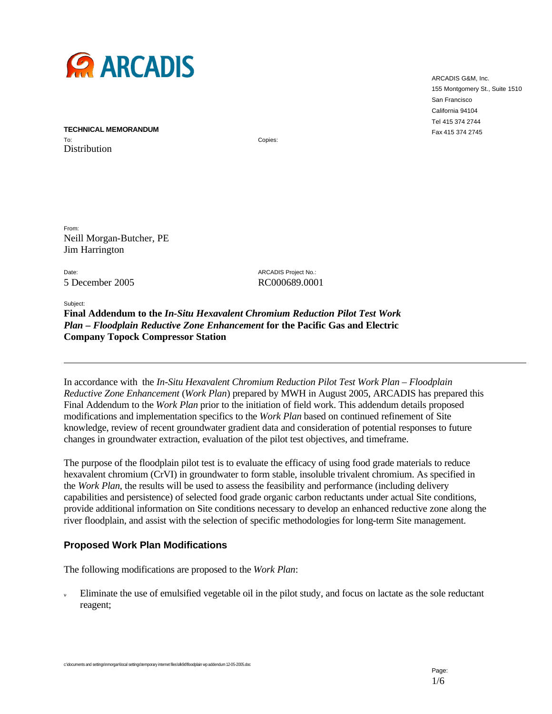

ARCADIS G&M, Inc. 155 Montgomery St., Suite 1510 San Francisco California 94104 Tel 415 374 2744 Fax 415 374 2745

**TECHNICAL MEMORANDUM** To: Distribution

Copies:

From: Neill Morgan-Butcher, PE Jim Harrington

Date: ARCADIS Project No.: 5 December 2005 RC000689.0001

Subject:

**Final Addendum to the** *In-Situ Hexavalent Chromium Reduction Pilot Test Work Plan – Floodplain Reductive Zone Enhancement* **for the Pacific Gas and Electric Company Topock Compressor Station** 

In accordance with the *In-Situ Hexavalent Chromium Reduction Pilot Test Work Plan – Floodplain Reductive Zone Enhancement* (*Work Plan*) prepared by MWH in August 2005, ARCADIS has prepared this Final Addendum to the *Work Plan* prior to the initiation of field work. This addendum details proposed modifications and implementation specifics to the *Work Plan* based on continued refinement of Site knowledge, review of recent groundwater gradient data and consideration of potential responses to future changes in groundwater extraction, evaluation of the pilot test objectives, and timeframe.

The purpose of the floodplain pilot test is to evaluate the efficacy of using food grade materials to reduce hexavalent chromium (CrVI) in groundwater to form stable, insoluble trivalent chromium. As specified in the *Work Plan*, the results will be used to assess the feasibility and performance (including delivery capabilities and persistence) of selected food grade organic carbon reductants under actual Site conditions, provide additional information on Site conditions necessary to develop an enhanced reductive zone along the river floodplain, and assist with the selection of specific methodologies for long-term Site management.

### **Proposed Work Plan Modifications**

The following modifications are proposed to the *Work Plan*:

Eliminate the use of emulsified vegetable oil in the pilot study, and focus on lactate as the sole reductant reagent;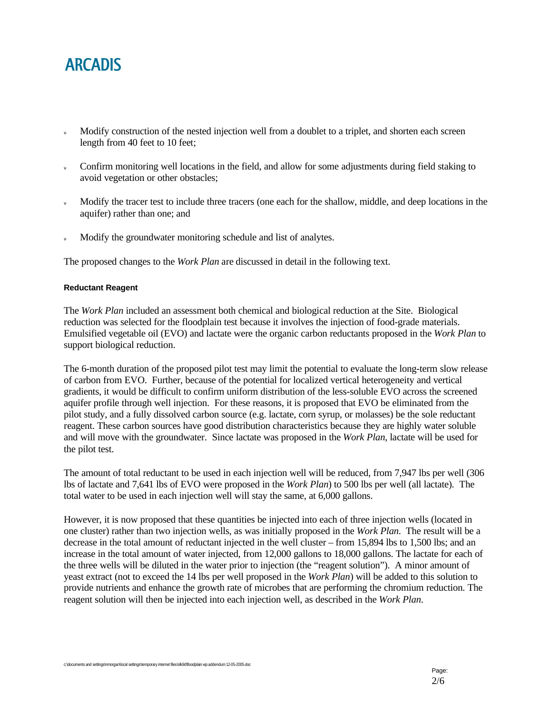- Modify construction of the nested injection well from a doublet to a triplet, and shorten each screen length from 40 feet to 10 feet;
- Confirm monitoring well locations in the field, and allow for some adjustments during field staking to avoid vegetation or other obstacles;
- Modify the tracer test to include three tracers (one each for the shallow, middle, and deep locations in the aquifer) rather than one; and
- Modify the groundwater monitoring schedule and list of analytes.

The proposed changes to the *Work Plan* are discussed in detail in the following text.

### **Reductant Reagent**

The *Work Plan* included an assessment both chemical and biological reduction at the Site. Biological reduction was selected for the floodplain test because it involves the injection of food-grade materials. Emulsified vegetable oil (EVO) and lactate were the organic carbon reductants proposed in the *Work Plan* to support biological reduction.

The 6-month duration of the proposed pilot test may limit the potential to evaluate the long-term slow release of carbon from EVO. Further, because of the potential for localized vertical heterogeneity and vertical gradients, it would be difficult to confirm uniform distribution of the less-soluble EVO across the screened aquifer profile through well injection. For these reasons, it is proposed that EVO be eliminated from the pilot study, and a fully dissolved carbon source (e.g. lactate, corn syrup, or molasses) be the sole reductant reagent. These carbon sources have good distribution characteristics because they are highly water soluble and will move with the groundwater. Since lactate was proposed in the *Work Plan*, lactate will be used for the pilot test.

The amount of total reductant to be used in each injection well will be reduced, from 7,947 lbs per well (306 lbs of lactate and 7,641 lbs of EVO were proposed in the *Work Plan*) to 500 lbs per well (all lactate). The total water to be used in each injection well will stay the same, at 6,000 gallons.

However, it is now proposed that these quantities be injected into each of three injection wells (located in one cluster) rather than two injection wells, as was initially proposed in the *Work Plan*. The result will be a decrease in the total amount of reductant injected in the well cluster – from 15,894 lbs to 1,500 lbs; and an increase in the total amount of water injected, from 12,000 gallons to 18,000 gallons. The lactate for each of the three wells will be diluted in the water prior to injection (the "reagent solution"). A minor amount of yeast extract (not to exceed the 14 lbs per well proposed in the *Work Plan*) will be added to this solution to provide nutrients and enhance the growth rate of microbes that are performing the chromium reduction. The reagent solution will then be injected into each injection well, as described in the *Work Plan*.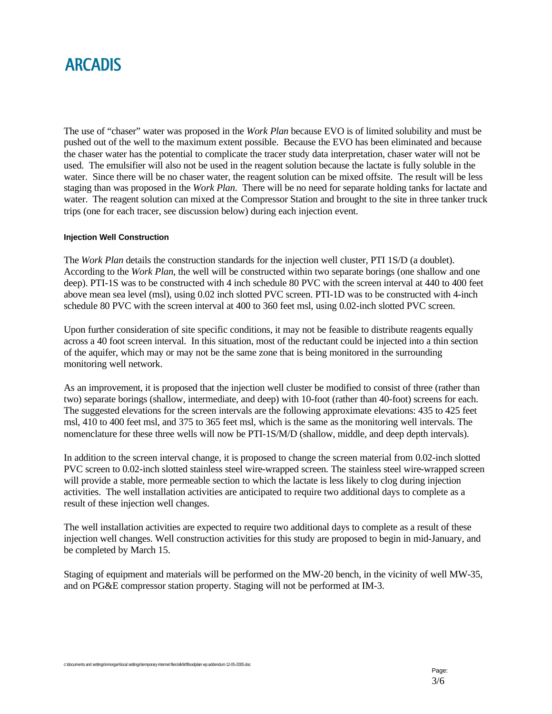The use of "chaser" water was proposed in the *Work Plan* because EVO is of limited solubility and must be pushed out of the well to the maximum extent possible. Because the EVO has been eliminated and because the chaser water has the potential to complicate the tracer study data interpretation, chaser water will not be used. The emulsifier will also not be used in the reagent solution because the lactate is fully soluble in the water. Since there will be no chaser water, the reagent solution can be mixed offsite. The result will be less staging than was proposed in the *Work Plan*. There will be no need for separate holding tanks for lactate and water. The reagent solution can mixed at the Compressor Station and brought to the site in three tanker truck trips (one for each tracer, see discussion below) during each injection event.

### **Injection Well Construction**

The *Work Plan* details the construction standards for the injection well cluster, PTI 1S/D (a doublet). According to the *Work Plan*, the well will be constructed within two separate borings (one shallow and one deep). PTI-1S was to be constructed with 4 inch schedule 80 PVC with the screen interval at 440 to 400 feet above mean sea level (msl), using 0.02 inch slotted PVC screen. PTI-1D was to be constructed with 4-inch schedule 80 PVC with the screen interval at 400 to 360 feet msl, using 0.02-inch slotted PVC screen.

Upon further consideration of site specific conditions, it may not be feasible to distribute reagents equally across a 40 foot screen interval. In this situation, most of the reductant could be injected into a thin section of the aquifer, which may or may not be the same zone that is being monitored in the surrounding monitoring well network.

As an improvement, it is proposed that the injection well cluster be modified to consist of three (rather than two) separate borings (shallow, intermediate, and deep) with 10-foot (rather than 40-foot) screens for each. The suggested elevations for the screen intervals are the following approximate elevations: 435 to 425 feet msl, 410 to 400 feet msl, and 375 to 365 feet msl, which is the same as the monitoring well intervals. The nomenclature for these three wells will now be PTI-1S/M/D (shallow, middle, and deep depth intervals).

In addition to the screen interval change, it is proposed to change the screen material from 0.02-inch slotted PVC screen to 0.02-inch slotted stainless steel wire-wrapped screen. The stainless steel wire-wrapped screen will provide a stable, more permeable section to which the lactate is less likely to clog during injection activities. The well installation activities are anticipated to require two additional days to complete as a result of these injection well changes.

The well installation activities are expected to require two additional days to complete as a result of these injection well changes. Well construction activities for this study are proposed to begin in mid-January, and be completed by March 15.

Staging of equipment and materials will be performed on the MW-20 bench, in the vicinity of well MW-35, and on PG&E compressor station property. Staging will not be performed at IM-3.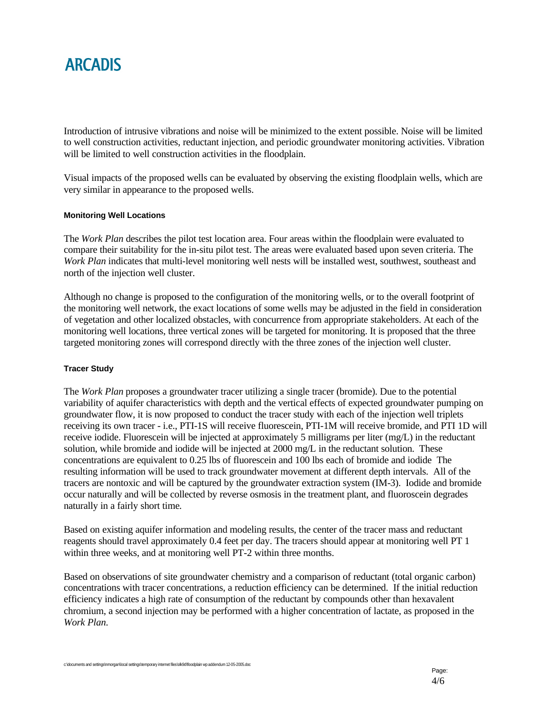Introduction of intrusive vibrations and noise will be minimized to the extent possible. Noise will be limited to well construction activities, reductant injection, and periodic groundwater monitoring activities. Vibration will be limited to well construction activities in the floodplain.

Visual impacts of the proposed wells can be evaluated by observing the existing floodplain wells, which are very similar in appearance to the proposed wells.

### **Monitoring Well Locations**

The *Work Plan* describes the pilot test location area. Four areas within the floodplain were evaluated to compare their suitability for the in-situ pilot test. The areas were evaluated based upon seven criteria. The *Work Plan* indicates that multi-level monitoring well nests will be installed west, southwest, southeast and north of the injection well cluster.

Although no change is proposed to the configuration of the monitoring wells, or to the overall footprint of the monitoring well network, the exact locations of some wells may be adjusted in the field in consideration of vegetation and other localized obstacles, with concurrence from appropriate stakeholders. At each of the monitoring well locations, three vertical zones will be targeted for monitoring. It is proposed that the three targeted monitoring zones will correspond directly with the three zones of the injection well cluster.

### **Tracer Study**

The *Work Plan* proposes a groundwater tracer utilizing a single tracer (bromide). Due to the potential variability of aquifer characteristics with depth and the vertical effects of expected groundwater pumping on groundwater flow, it is now proposed to conduct the tracer study with each of the injection well triplets receiving its own tracer - i.e., PTI-1S will receive fluorescein, PTI-1M will receive bromide, and PTI 1D will receive iodide. Fluorescein will be injected at approximately 5 milligrams per liter (mg/L) in the reductant solution, while bromide and iodide will be injected at 2000 mg/L in the reductant solution. These concentrations are equivalent to 0.25 lbs of fluorescein and 100 lbs each of bromide and iodide The resulting information will be used to track groundwater movement at different depth intervals. All of the tracers are nontoxic and will be captured by the groundwater extraction system (IM-3). Iodide and bromide occur naturally and will be collected by reverse osmosis in the treatment plant, and fluoroscein degrades naturally in a fairly short time.

Based on existing aquifer information and modeling results, the center of the tracer mass and reductant reagents should travel approximately 0.4 feet per day. The tracers should appear at monitoring well PT 1 within three weeks, and at monitoring well PT-2 within three months.

Based on observations of site groundwater chemistry and a comparison of reductant (total organic carbon) concentrations with tracer concentrations, a reduction efficiency can be determined. If the initial reduction efficiency indicates a high rate of consumption of the reductant by compounds other than hexavalent chromium, a second injection may be performed with a higher concentration of lactate, as proposed in the *Work Plan*.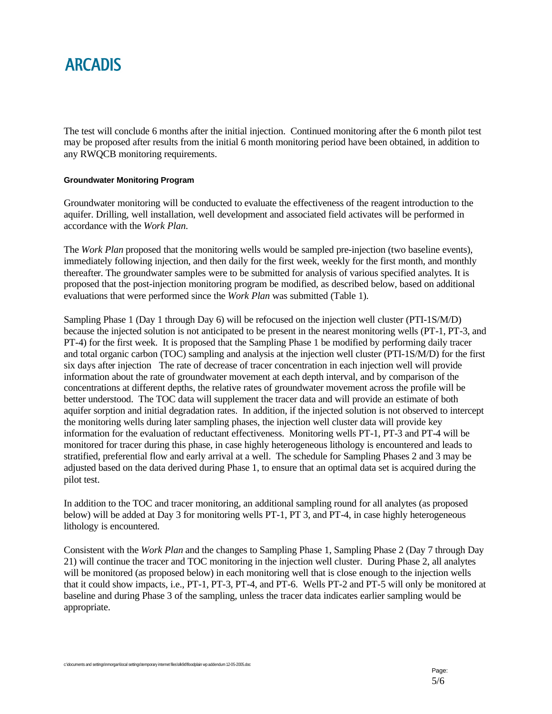The test will conclude 6 months after the initial injection. Continued monitoring after the 6 month pilot test may be proposed after results from the initial 6 month monitoring period have been obtained, in addition to any RWQCB monitoring requirements.

### **Groundwater Monitoring Program**

Groundwater monitoring will be conducted to evaluate the effectiveness of the reagent introduction to the aquifer. Drilling, well installation, well development and associated field activates will be performed in accordance with the *Work Plan*.

The *Work Plan* proposed that the monitoring wells would be sampled pre-injection (two baseline events), immediately following injection, and then daily for the first week, weekly for the first month, and monthly thereafter. The groundwater samples were to be submitted for analysis of various specified analytes. It is proposed that the post-injection monitoring program be modified, as described below, based on additional evaluations that were performed since the *Work Plan* was submitted (Table 1).

Sampling Phase 1 (Day 1 through Day 6) will be refocused on the injection well cluster (PTI-1S/M/D) because the injected solution is not anticipated to be present in the nearest monitoring wells (PT-1, PT-3, and PT-4) for the first week. It is proposed that the Sampling Phase 1 be modified by performing daily tracer and total organic carbon (TOC) sampling and analysis at the injection well cluster (PTI-1S/M/D) for the first six days after injection The rate of decrease of tracer concentration in each injection well will provide information about the rate of groundwater movement at each depth interval, and by comparison of the concentrations at different depths, the relative rates of groundwater movement across the profile will be better understood. The TOC data will supplement the tracer data and will provide an estimate of both aquifer sorption and initial degradation rates. In addition, if the injected solution is not observed to intercept the monitoring wells during later sampling phases, the injection well cluster data will provide key information for the evaluation of reductant effectiveness. Monitoring wells PT-1, PT-3 and PT-4 will be monitored for tracer during this phase, in case highly heterogeneous lithology is encountered and leads to stratified, preferential flow and early arrival at a well. The schedule for Sampling Phases 2 and 3 may be adjusted based on the data derived during Phase 1, to ensure that an optimal data set is acquired during the pilot test.

In addition to the TOC and tracer monitoring, an additional sampling round for all analytes (as proposed below) will be added at Day 3 for monitoring wells PT-1, PT 3, and PT-4, in case highly heterogeneous lithology is encountered.

Consistent with the *Work Plan* and the changes to Sampling Phase 1, Sampling Phase 2 (Day 7 through Day 21) will continue the tracer and TOC monitoring in the injection well cluster. During Phase 2, all analytes will be monitored (as proposed below) in each monitoring well that is close enough to the injection wells that it could show impacts, i.e., PT-1, PT-3, PT-4, and PT-6. Wells PT-2 and PT-5 will only be monitored at baseline and during Phase 3 of the sampling, unless the tracer data indicates earlier sampling would be appropriate.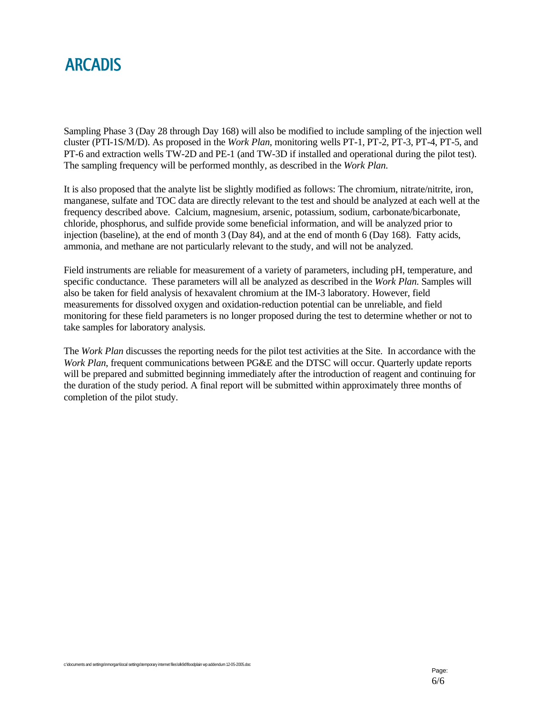

Sampling Phase 3 (Day 28 through Day 168) will also be modified to include sampling of the injection well cluster (PTI-1S/M/D). As proposed in the *Work Plan*, monitoring wells PT-1, PT-2, PT-3, PT-4, PT-5, and PT-6 and extraction wells TW-2D and PE-1 (and TW-3D if installed and operational during the pilot test). The sampling frequency will be performed monthly, as described in the *Work Plan*.

It is also proposed that the analyte list be slightly modified as follows: The chromium, nitrate/nitrite, iron, manganese, sulfate and TOC data are directly relevant to the test and should be analyzed at each well at the frequency described above. Calcium, magnesium, arsenic, potassium, sodium, carbonate/bicarbonate, chloride, phosphorus, and sulfide provide some beneficial information, and will be analyzed prior to injection (baseline), at the end of month 3 (Day 84), and at the end of month 6 (Day 168). Fatty acids, ammonia, and methane are not particularly relevant to the study, and will not be analyzed.

Field instruments are reliable for measurement of a variety of parameters, including pH, temperature, and specific conductance. These parameters will all be analyzed as described in the *Work Plan*. Samples will also be taken for field analysis of hexavalent chromium at the IM-3 laboratory. However, field measurements for dissolved oxygen and oxidation-reduction potential can be unreliable, and field monitoring for these field parameters is no longer proposed during the test to determine whether or not to take samples for laboratory analysis.

The *Work Plan* discusses the reporting needs for the pilot test activities at the Site. In accordance with the *Work Plan*, frequent communications between PG&E and the DTSC will occur. Quarterly update reports will be prepared and submitted beginning immediately after the introduction of reagent and continuing for the duration of the study period. A final report will be submitted within approximately three months of completion of the pilot study.